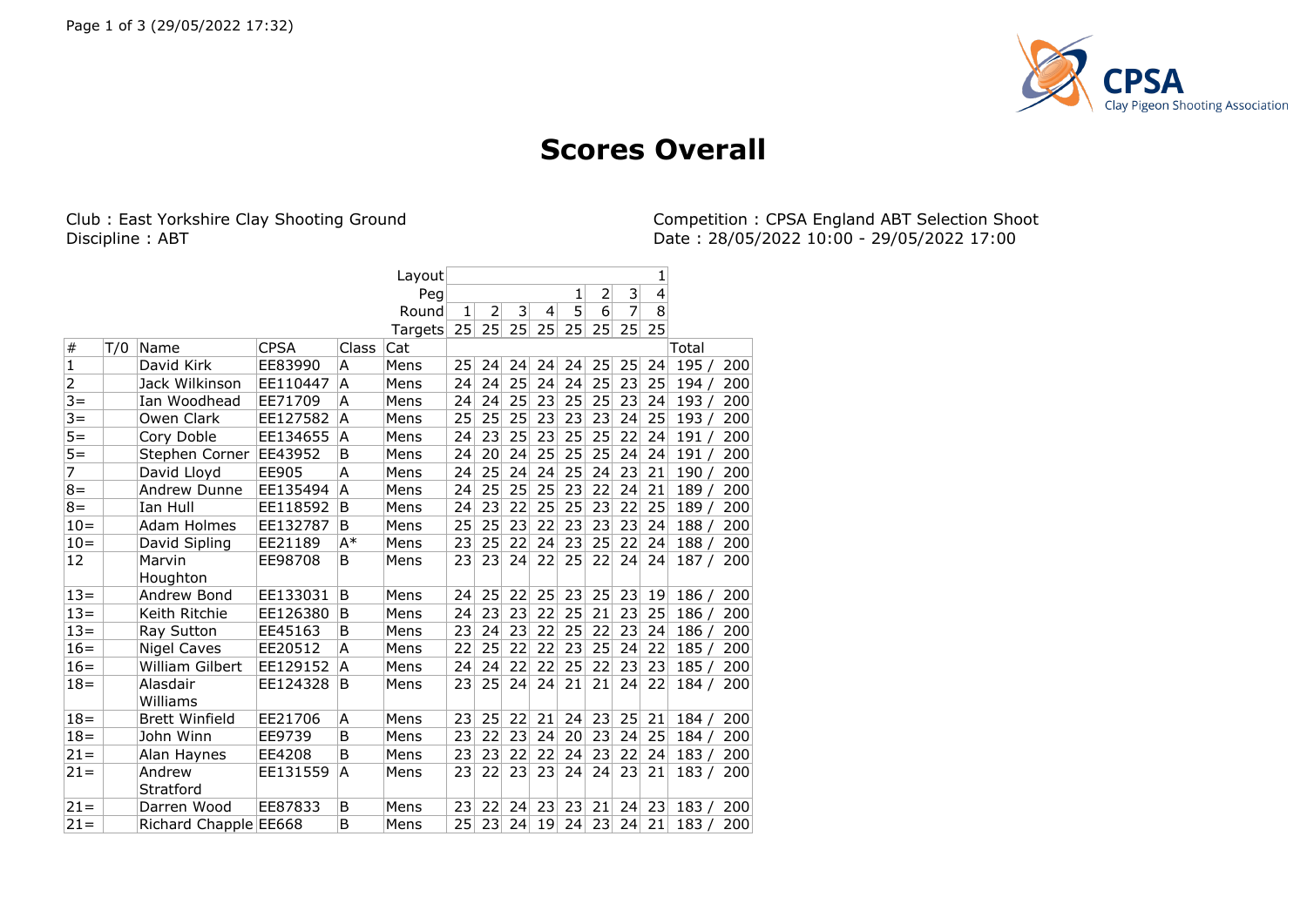

## **Scores Overall**

Club : East Yorkshire Clay Shooting Ground Competition : CPSA England ABT Selection Shoot<br>Discipline : ABT Competition : CPSA England ABT Selection Shoot<br>Date : 28/05/2022 10:00 - 29/05/2022 17:00 Date: 28/05/2022 10:00 - 29/05/2022 17:00

|                |     |                        |             |       | Layout  |    |                |    |                |    |                |    | 1                       |       |     |
|----------------|-----|------------------------|-------------|-------|---------|----|----------------|----|----------------|----|----------------|----|-------------------------|-------|-----|
|                |     |                        |             |       | Peg     |    |                |    |                | 1  | $\overline{2}$ | 3  | $\overline{\mathbf{4}}$ |       |     |
|                |     |                        |             |       | Round   | 1  | $\overline{2}$ | 3  | $\overline{4}$ | 5  | 6              | 7  | 8                       |       |     |
|                |     |                        |             |       | Targets | 25 | 25             | 25 | 25             | 25 | 25             | 25 | 25                      |       |     |
| #              | T/0 | Name                   | <b>CPSA</b> | Class | Cat     |    |                |    |                |    |                |    |                         | Total |     |
| $\overline{1}$ |     | David Kirk             | EE83990     | A     | Mens    | 25 | 24             | 24 | 24             | 24 | 25             | 25 | 24                      | 195/  | 200 |
| $\overline{2}$ |     | Jack Wilkinson         | EE110447    | A     | Mens    | 24 | 24             | 25 | 24             | 24 | 25             | 23 | 25                      | 194   | 200 |
| $3 =$          |     | Ian Woodhead           | EE71709     | A     | Mens    | 24 | 24             | 25 | 23             | 25 | 25             | 23 | 24                      | 193   | 200 |
| $3 =$          |     | Owen Clark             | EE127582    | A     | Mens    | 25 | 25             | 25 | 23             | 23 | 23             | 24 | 25                      | 193   | 200 |
| $5 =$          |     | Cory Doble             | EE134655    | A     | Mens    | 24 | 23             | 25 | 23             | 25 | 25             | 22 | 24                      | 191   | 200 |
| $5 =$          |     | Stephen Corner         | EE43952     | B     | Mens    | 24 | 20             | 24 | 25             | 25 | 25             | 24 | 24                      | 191   | 200 |
| $\overline{7}$ |     | David Lloyd            | EE905       | A     | Mens    | 24 | 25             | 24 | 24             | 25 | 24             | 23 | 21                      | 190   | 200 |
| $8 =$          |     | Andrew Dunne           | EE135494    | A     | Mens    | 24 | 25             | 25 | 25             | 23 | 22             | 24 | 21                      | 189   | 200 |
| $8 =$          |     | Ian Hull               | EE118592    | B     | Mens    | 24 | 23             | 22 | 25             | 25 | 23             | 22 | 25                      | 189   | 200 |
| $10=$          |     | Adam Holmes            | EE132787    | B     | Mens    | 25 | 25             | 23 | 22             | 23 | 23             | 23 | 24                      | 188   | 200 |
| $10=$          |     | David Sipling          | EE21189     | A*    | Mens    | 23 | 25             | 22 | 24             | 23 | 25             | 22 | 24                      | 188   | 200 |
| 12             |     | Marvin                 | EE98708     | B     | Mens    | 23 | 23             | 24 | 22             | 25 | 22             | 24 | 24                      | 187/  | 200 |
|                |     | Houghton               |             |       |         |    |                |    |                |    |                |    |                         |       |     |
| $13 =$         |     | Andrew Bond            | EE133031    | B     | Mens    | 24 | 25             | 22 | 25             | 23 | 25             | 23 | 19                      | 186/  | 200 |
| $13=$          |     | Keith Ritchie          | EE126380    | B     | Mens    | 24 | 23             | 23 | 22             | 25 | 21             | 23 | 25                      | 186   | 200 |
| $13=$          |     | Ray Sutton             | EE45163     | B     | Mens    | 23 | 24             | 23 | 22             | 25 | 22             | 23 | 24                      | 186   | 200 |
| $16=$          |     | <b>Nigel Caves</b>     | EE20512     | A     | Mens    | 22 | 25             | 22 | 22             | 23 | 25             | 24 | 22                      | 185   | 200 |
| $16=$          |     | <b>William Gilbert</b> | EE129152    | A     | Mens    | 24 | 24             | 22 | 22             | 25 | 22             | 23 | 23                      | 185   | 200 |
| $18 =$         |     | Alasdair               | EE124328    | ΙB    | Mens    | 23 | 25             | 24 | 24             | 21 | 21             | 24 | 22                      | 184 / | 200 |
|                |     | Williams               |             |       |         |    |                |    |                |    |                |    |                         |       |     |
| $18 =$         |     | <b>Brett Winfield</b>  | EE21706     | A     | Mens    | 23 | 25             | 22 | 21             | 24 | 23             | 25 | 21                      | 184   | 200 |
| $18 =$         |     | John Winn              | EE9739      | B     | Mens    | 23 | 22             | 23 | 24             | 20 | 23             | 24 | 25                      | 184   | 200 |
| $21 =$         |     | Alan Haynes            | EE4208      | B     | Mens    | 23 | 23             | 22 | 22             | 24 | 23             | 22 | 24                      | 183   | 200 |
| $21 =$         |     | Andrew                 | EE131559    | A     | Mens    | 23 | 22             | 23 | 23             | 24 | 24             | 23 | 21                      | 183/  | 200 |
|                |     | Stratford              |             |       |         |    |                |    |                |    |                |    |                         |       |     |
| $21 =$         |     | Darren Wood            | EE87833     | B     | Mens    | 23 | 22             | 24 | 23             | 23 | 21             | 24 | 23                      | 183   | 200 |
| $21 =$         |     | Richard Chapple EE668  |             | B     | Mens    | 25 | 23             | 24 | 19             | 24 | 23             | 24 | 21                      | 183   | 200 |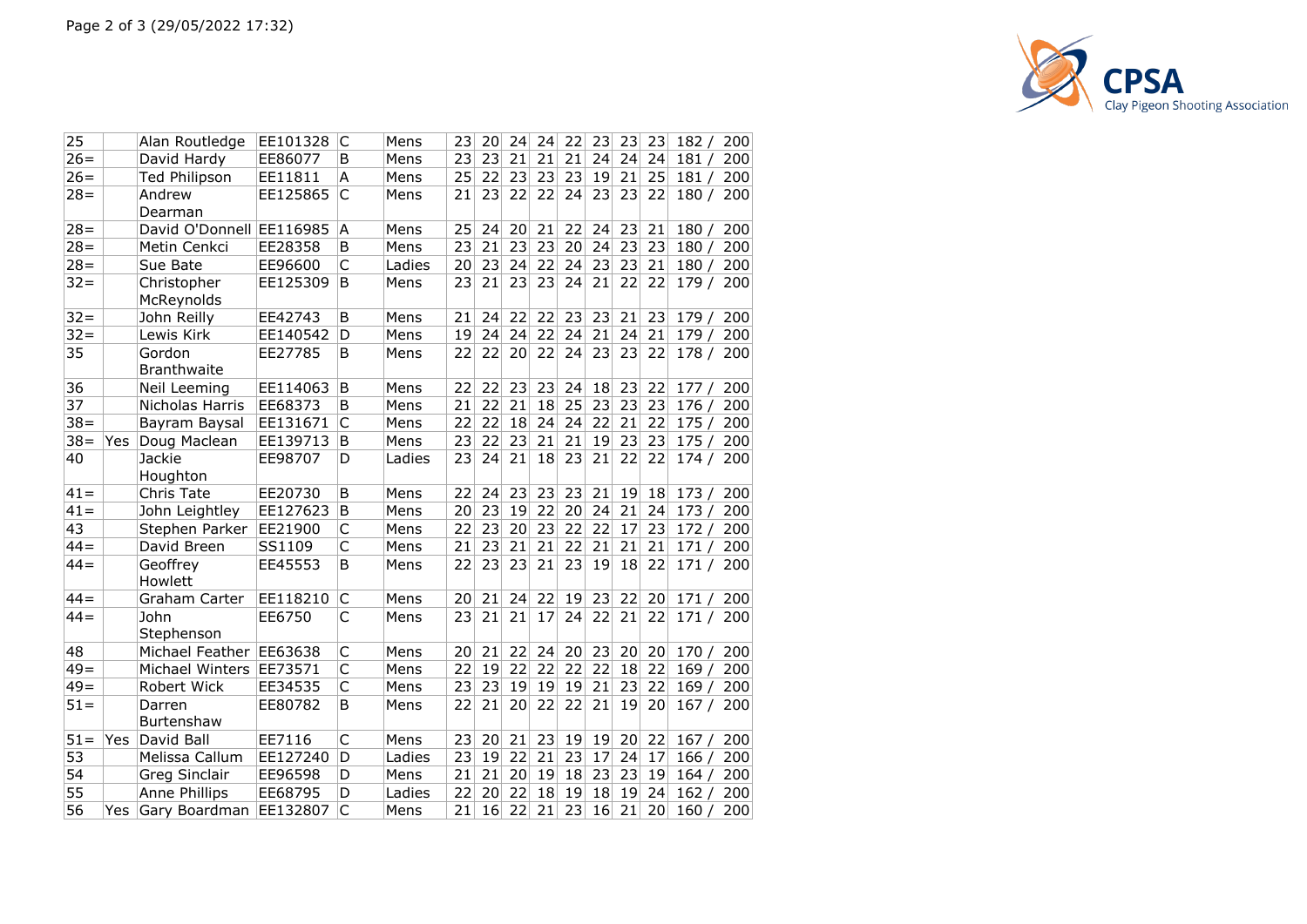

| 25     |       | Alan Routledge               | EE101328 | C                       | Mens   | 23 | 20 | 24              | 24 | 22 | 23 | 23 | 23 | 182/      | 200 |
|--------|-------|------------------------------|----------|-------------------------|--------|----|----|-----------------|----|----|----|----|----|-----------|-----|
| $26=$  |       | David Hardy                  | EE86077  | B                       | Mens   | 23 | 23 | 21              | 21 | 21 | 24 | 24 | 24 | 181/      | 200 |
| $26=$  |       | Ted Philipson                | EE11811  | A                       | Mens   | 25 | 22 | 23              | 23 | 23 | 19 | 21 | 25 | 181/      | 200 |
| $28 =$ |       | Andrew                       | EE125865 | C                       | Mens   | 21 | 23 | 22              | 22 | 24 | 23 | 23 | 22 | 180/      | 200 |
|        |       | Dearman                      |          |                         |        |    |    |                 |    |    |    |    |    |           |     |
| $28 =$ |       | David O'Donnell EE116985     |          | A                       | Mens   | 25 | 24 | 20              | 21 | 22 | 24 | 23 | 21 | 180/      | 200 |
| $28 =$ |       | Metin Cenkci                 | EE28358  | B                       | Mens   | 23 | 21 | 23              | 23 | 20 | 24 | 23 | 23 | 180/      | 200 |
| $28 =$ |       | Sue Bate                     | EE96600  | C                       | Ladies | 20 | 23 | 24              | 22 | 24 | 23 | 23 | 21 | 180/      | 200 |
| $32 =$ |       | Christopher                  | EE125309 | B                       | Mens   | 23 | 21 | 23              | 23 | 24 | 21 | 22 | 22 | 179 /     | 200 |
|        |       | McReynolds                   |          |                         |        |    |    |                 |    |    |    |    |    |           |     |
| $32 =$ |       | John Reilly                  | EE42743  | B                       | Mens   | 21 | 24 | 22              | 22 | 23 | 23 | 21 | 23 | 179/      | 200 |
| $32 =$ |       | Lewis Kirk                   | EE140542 | D                       | Mens   | 19 | 24 | 24              | 22 | 24 | 21 | 24 | 21 | 179/      | 200 |
| 35     |       | Gordon<br><b>Branthwaite</b> | EE27785  | B                       | Mens   | 22 | 22 | 20              | 22 | 24 | 23 | 23 | 22 | 178/      | 200 |
| 36     |       | Neil Leeming                 | EE114063 | B                       | Mens   | 22 | 22 | 23              | 23 | 24 | 18 | 23 | 22 | 177/      | 200 |
| 37     |       | Nicholas Harris              | EE68373  | B                       | Mens   | 21 | 22 | 21              | 18 | 25 | 23 | 23 | 23 | 176/      | 200 |
| $38 =$ |       | Bayram Baysal                | EE131671 | C                       | Mens   | 22 | 22 | 18              | 24 | 24 | 22 | 21 | 22 | 175/      | 200 |
| $38 =$ | Yes   | Doug Maclean                 | EE139713 | В                       | Mens   | 23 | 22 | 23              | 21 | 21 | 19 | 23 | 23 | 175/      | 200 |
| 40     |       | Jackie                       | EE98707  | D                       | Ladies | 23 | 24 | 21              | 18 | 23 | 21 | 22 | 22 | 174 / 200 |     |
|        |       | Houghton                     |          |                         |        |    |    |                 |    |    |    |    |    |           |     |
| $41 =$ |       | <b>Chris Tate</b>            | EE20730  | B                       | Mens   | 22 | 24 | 23              | 23 | 23 | 21 | 19 | 18 | 173/      | 200 |
| $41 =$ |       | John Leightley               | EE127623 | B                       | Mens   | 20 | 23 | 19              | 22 | 20 | 24 | 21 | 24 | 173/      | 200 |
| 43     |       | Stephen Parker               | EE21900  | C                       | Mens   | 22 | 23 | 20              | 23 | 22 | 22 | 17 | 23 | 172/      | 200 |
| $44 =$ |       | David Breen                  | SS1109   | $\overline{\mathsf{C}}$ | Mens   | 21 | 23 | 21              | 21 | 22 | 21 | 21 | 21 | 171/      | 200 |
| $44 =$ |       | Geoffrey<br>Howlett          | EE45553  | B                       | Mens   | 22 | 23 | 23              | 21 | 23 | 19 | 18 | 22 | 171/      | 200 |
| $44 =$ |       | Graham Carter                | EE118210 | C                       | Mens   | 20 | 21 | 24              | 22 | 19 | 23 | 22 | 20 | 171/      | 200 |
| $44 =$ |       | John                         | EE6750   | C                       | Mens   | 23 | 21 | 21              | 17 | 24 | 22 | 21 | 22 | 171/      | 200 |
|        |       | Stephenson                   |          |                         |        |    |    |                 |    |    |    |    |    |           |     |
| 48     |       | Michael Feather              | EE63638  | C                       | Mens   | 20 | 21 | 22              | 24 | 20 | 23 | 20 | 20 | 170/      | 200 |
| $49=$  |       | Michael Winters              | EE73571  | C                       | Mens   | 22 | 19 | 22              | 22 | 22 | 22 | 18 | 22 | 169/      | 200 |
| $49=$  |       | Robert Wick                  | EE34535  | C                       | Mens   | 23 | 23 | 19              | 19 | 19 | 21 | 23 | 22 | 169/      | 200 |
| $51 =$ |       | Darren                       | EE80782  | B                       | Mens   | 22 | 21 | 20              | 22 | 22 | 21 | 19 | 20 | 167/      | 200 |
|        |       | Burtenshaw                   |          |                         |        |    |    |                 |    |    |    |    |    |           |     |
| $51 =$ | Yes   | David Ball                   | EE7116   | C                       | Mens   | 23 | 20 | 21              | 23 | 19 | 19 | 20 | 22 | 167/      | 200 |
| 53     |       | Melissa Callum               | EE127240 | D                       | Ladies | 23 | 19 | 22              | 21 | 23 | 17 | 24 | 17 | 166/      | 200 |
| 54     |       | <b>Greg Sinclair</b>         | EE96598  | D                       | Mens   | 21 | 21 | 20 <sup>2</sup> | 19 | 18 | 23 | 23 | 19 | 164/      | 200 |
| 55     |       | Anne Phillips                | EE68795  | D                       | Ladies | 22 | 20 | 22              | 18 | 19 | 18 | 19 | 24 | 162/      | 200 |
| 56     | Yes l | Gary Boardman                | EE132807 | C                       | Mens   | 21 | 16 | 22              | 21 | 23 | 16 | 21 | 20 | 160/      | 200 |